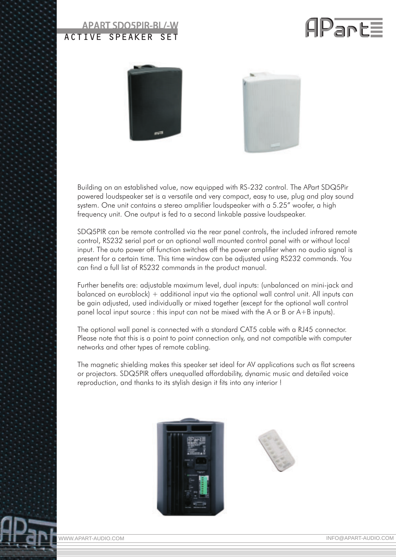## APART SDQ5PIR-BL/-W ACTIVE SPEAKER SET







Building on an established value, now equipped with RS-232 control. The APart SDQ5Pir powered loudspeaker set is a versatile and very compact, easy to use, plug and play sound system. One unit contains a stereo amplifier loudspeaker with a 5.25" woofer, a high frequency unit. One output is fed to a second linkable passive loudspeaker.

SDQ5PIR can be remote controlled via the rear panel controls, the included infrared remote control, RS232 serial port or an optional wall mounted control panel with or without local input. The auto power off function switches off the power amplifier when no audio signal is present for a certain time. This time window can be adjusted using RS232 commands. You can find a full list of RS232 commands in the product manual.

Further benefits are: adjustable maximum level, dual inputs: (unbalanced on mini-jack and balanced on euroblock) + additional input via the optional wall control unit. All inputs can be gain adjusted, used individually or mixed together (except for the optional wall control panel local input source : this input can not be mixed with the A or B or A+B inputs).

The optional wall panel is connected with a standard CAT5 cable with a RJ45 connector. Please note that this is a point to point connection only, and not compatible with computer networks and other types of remote cabling.

The magnetic shielding makes this speaker set ideal for AV applications such as flat screens or projectors. SDQ5PIR offers unequalled affordability, dynamic music and detailed voice reproduction, and thanks to its stylish design it fits into any interior !